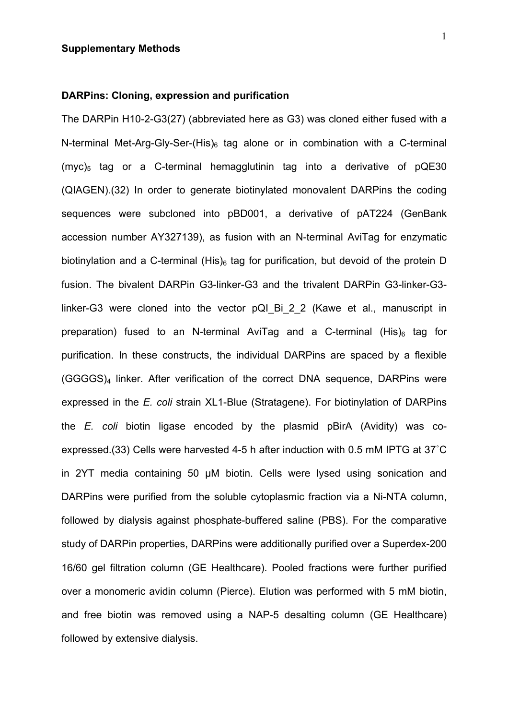### **DARPins: Cloning, expression and purification**

The DARPin H10-2-G3(27) (abbreviated here as G3) was cloned either fused with a N-terminal Met-Arg-Gly-Ser-(His) $_6$  tag alone or in combination with a C-terminal (myc)<sub>5</sub> tag or a C-terminal hemagglutinin tag into a derivative of  $pQE30$ (QIAGEN).(32) In order to generate biotinylated monovalent DARPins the coding sequences were subcloned into pBD001, a derivative of pAT224 (GenBank accession number AY327139), as fusion with an N-terminal AviTag for enzymatic biotinylation and a C-terminal (His) $_6$  tag for purification, but devoid of the protein D fusion. The bivalent DARPin G3-linker-G3 and the trivalent DARPin G3-linker-G3 linker-G3 were cloned into the vector pQI Bi 2 2 (Kawe et al., manuscript in preparation) fused to an N-terminal AviTag and a C-terminal  $(His)_{6}$  tag for purification. In these constructs, the individual DARPins are spaced by a flexible (GGGGS)4 linker. After verification of the correct DNA sequence, DARPins were expressed in the *E. coli* strain XL1-Blue (Stratagene). For biotinylation of DARPins the *E. coli* biotin ligase encoded by the plasmid pBirA (Avidity) was coexpressed.(33) Cells were harvested 4-5 h after induction with 0.5 mM IPTG at 37˚C in 2YT media containing 50 µM biotin. Cells were lysed using sonication and DARPins were purified from the soluble cytoplasmic fraction via a Ni-NTA column, followed by dialysis against phosphate-buffered saline (PBS). For the comparative study of DARPin properties, DARPins were additionally purified over a Superdex-200 16/60 gel filtration column (GE Healthcare). Pooled fractions were further purified over a monomeric avidin column (Pierce). Elution was performed with 5 mM biotin, and free biotin was removed using a NAP-5 desalting column (GE Healthcare) followed by extensive dialysis.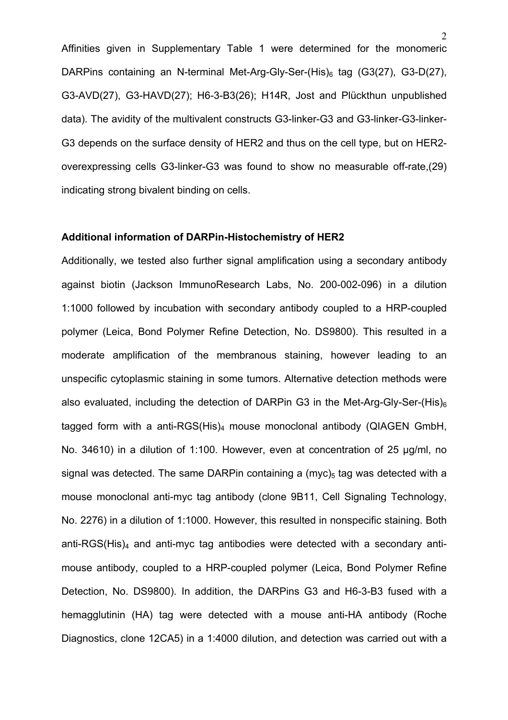Affinities given in Supplementary Table 1 were determined for the monomeric DARPins containing an N-terminal Met-Arg-Gly-Ser-(His) $_6$  tag (G3(27), G3-D(27), G3-AVD(27), G3-HAVD(27); H6-3-B3(26); H14R, Jost and Plückthun unpublished data). The avidity of the multivalent constructs G3-linker-G3 and G3-linker-G3-linker-G3 depends on the surface density of HER2 and thus on the cell type, but on HER2 overexpressing cells G3-linker-G3 was found to show no measurable off-rate,(29) indicating strong bivalent binding on cells.

### **Additional information of DARPin-Histochemistry of HER2**

Additionally, we tested also further signal amplification using a secondary antibody against biotin (Jackson ImmunoResearch Labs, No. 200-002-096) in a dilution 1:1000 followed by incubation with secondary antibody coupled to a HRP-coupled polymer (Leica, Bond Polymer Refine Detection, No. DS9800). This resulted in a moderate amplification of the membranous staining, however leading to an unspecific cytoplasmic staining in some tumors. Alternative detection methods were also evaluated, including the detection of DARPin G3 in the Met-Arg-Gly-Ser-(His) $_6$ tagged form with a anti-RGS(His)4 mouse monoclonal antibody (QIAGEN GmbH, No. 34610) in a dilution of 1:100. However, even at concentration of 25 µg/ml, no signal was detected. The same DARPin containing a (myc)<sub>5</sub> tag was detected with a mouse monoclonal anti-myc tag antibody (clone 9B11, Cell Signaling Technology, No. 2276) in a dilution of 1:1000. However, this resulted in nonspecific staining. Both anti-RGS(His) $_4$  and anti-myc tag antibodies were detected with a secondary antimouse antibody, coupled to a HRP-coupled polymer (Leica, Bond Polymer Refine Detection, No. DS9800). In addition, the DARPins G3 and H6-3-B3 fused with a hemagglutinin (HA) tag were detected with a mouse anti-HA antibody (Roche Diagnostics, clone 12CA5) in a 1:4000 dilution, and detection was carried out with a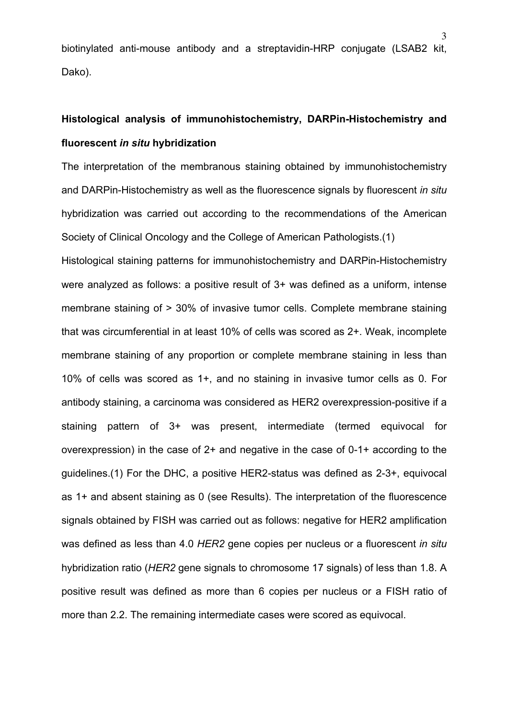biotinylated anti-mouse antibody and a streptavidin-HRP conjugate (LSAB2 kit, Dako).

# **Histological analysis of immunohistochemistry, DARPin-Histochemistry and fluorescent** *in situ* **hybridization**

The interpretation of the membranous staining obtained by immunohistochemistry and DARPin-Histochemistry as well as the fluorescence signals by fluorescent *in situ* hybridization was carried out according to the recommendations of the American Society of Clinical Oncology and the College of American Pathologists.(1)

Histological staining patterns for immunohistochemistry and DARPin-Histochemistry were analyzed as follows: a positive result of 3+ was defined as a uniform, intense membrane staining of > 30% of invasive tumor cells. Complete membrane staining that was circumferential in at least 10% of cells was scored as 2+. Weak, incomplete membrane staining of any proportion or complete membrane staining in less than 10% of cells was scored as 1+, and no staining in invasive tumor cells as 0. For antibody staining, a carcinoma was considered as HER2 overexpression-positive if a staining pattern of 3+ was present, intermediate (termed equivocal for overexpression) in the case of 2+ and negative in the case of 0-1+ according to the guidelines.(1) For the DHC, a positive HER2-status was defined as 2-3+, equivocal as 1+ and absent staining as 0 (see Results). The interpretation of the fluorescence signals obtained by FISH was carried out as follows: negative for HER2 amplification was defined as less than 4.0 *HER2* gene copies per nucleus or a fluorescent *in situ* hybridization ratio (*HER2* gene signals to chromosome 17 signals) of less than 1.8. A positive result was defined as more than 6 copies per nucleus or a FISH ratio of more than 2.2. The remaining intermediate cases were scored as equivocal.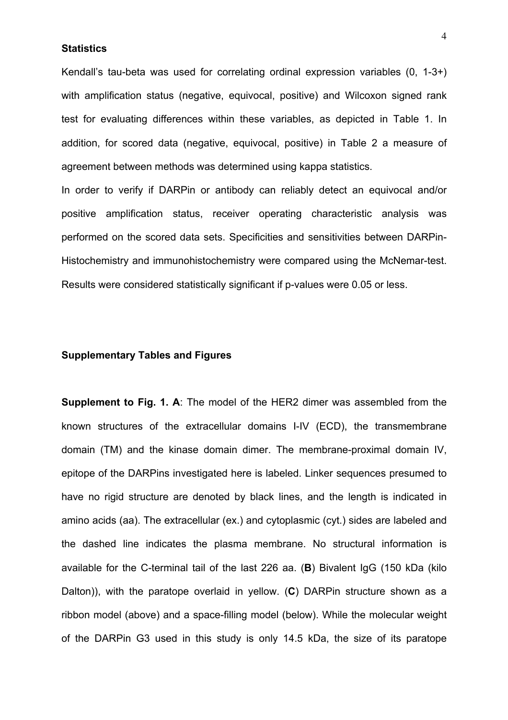## **Statistics**

Kendall's tau-beta was used for correlating ordinal expression variables (0, 1-3+) with amplification status (negative, equivocal, positive) and Wilcoxon signed rank test for evaluating differences within these variables, as depicted in Table 1. In addition, for scored data (negative, equivocal, positive) in Table 2 a measure of agreement between methods was determined using kappa statistics.

In order to verify if DARPin or antibody can reliably detect an equivocal and/or positive amplification status, receiver operating characteristic analysis was performed on the scored data sets. Specificities and sensitivities between DARPin-Histochemistry and immunohistochemistry were compared using the McNemar-test. Results were considered statistically significant if p-values were 0.05 or less.

## **Supplementary Tables and Figures**

**Supplement to Fig. 1. A**: The model of the HER2 dimer was assembled from the known structures of the extracellular domains I-IV (ECD), the transmembrane domain (TM) and the kinase domain dimer. The membrane-proximal domain IV, epitope of the DARPins investigated here is labeled. Linker sequences presumed to have no rigid structure are denoted by black lines, and the length is indicated in amino acids (aa). The extracellular (ex.) and cytoplasmic (cyt.) sides are labeled and the dashed line indicates the plasma membrane. No structural information is available for the C-terminal tail of the last 226 aa. (**B**) Bivalent IgG (150 kDa (kilo Dalton)), with the paratope overlaid in yellow. (**C**) DARPin structure shown as a ribbon model (above) and a space-filling model (below). While the molecular weight of the DARPin G3 used in this study is only 14.5 kDa, the size of its paratope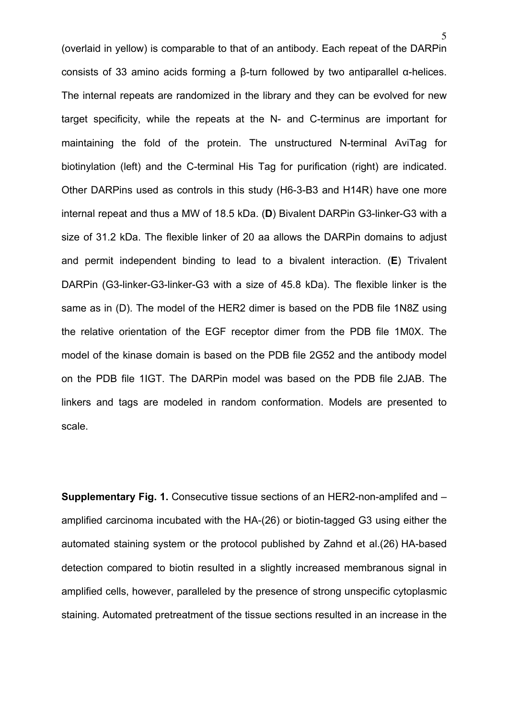5

(overlaid in yellow) is comparable to that of an antibody. Each repeat of the DARPin consists of 33 amino acids forming a β-turn followed by two antiparallel α-helices. The internal repeats are randomized in the library and they can be evolved for new target specificity, while the repeats at the N- and C-terminus are important for maintaining the fold of the protein. The unstructured N-terminal AviTag for biotinylation (left) and the C-terminal His Tag for purification (right) are indicated. Other DARPins used as controls in this study (H6-3-B3 and H14R) have one more internal repeat and thus a MW of 18.5 kDa. (**D**) Bivalent DARPin G3-linker-G3 with a size of 31.2 kDa. The flexible linker of 20 aa allows the DARPin domains to adjust and permit independent binding to lead to a bivalent interaction. (**E**) Trivalent DARPin (G3-linker-G3-linker-G3 with a size of 45.8 kDa). The flexible linker is the same as in (D). The model of the HER2 dimer is based on the PDB file 1N8Z using the relative orientation of the EGF receptor dimer from the PDB file 1M0X. The model of the kinase domain is based on the PDB file 2G52 and the antibody model on the PDB file 1IGT. The DARPin model was based on the PDB file 2JAB. The linkers and tags are modeled in random conformation. Models are presented to scale.

**Supplementary Fig. 1.** Consecutive tissue sections of an HER2-non-amplifed and – amplified carcinoma incubated with the HA-(26) or biotin-tagged G3 using either the automated staining system or the protocol published by Zahnd et al.(26) HA-based detection compared to biotin resulted in a slightly increased membranous signal in amplified cells, however, paralleled by the presence of strong unspecific cytoplasmic staining. Automated pretreatment of the tissue sections resulted in an increase in the